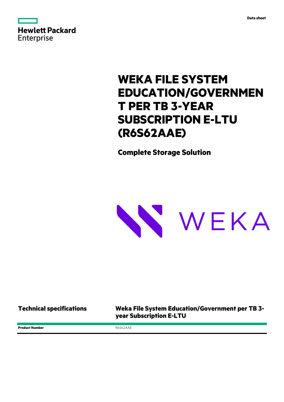



## **WEKA FILE SYSTEM EDUCATION/GOVERNMEN T PER TB 3-YEAR SUBSCRIPTION E-LTU (R6S62AAE)**

**Complete Storage Solution**



**Technical specifications Weka File System Education/Government per TB 3 year Subscription E-LTU**

**Product Number** R6S62AAE